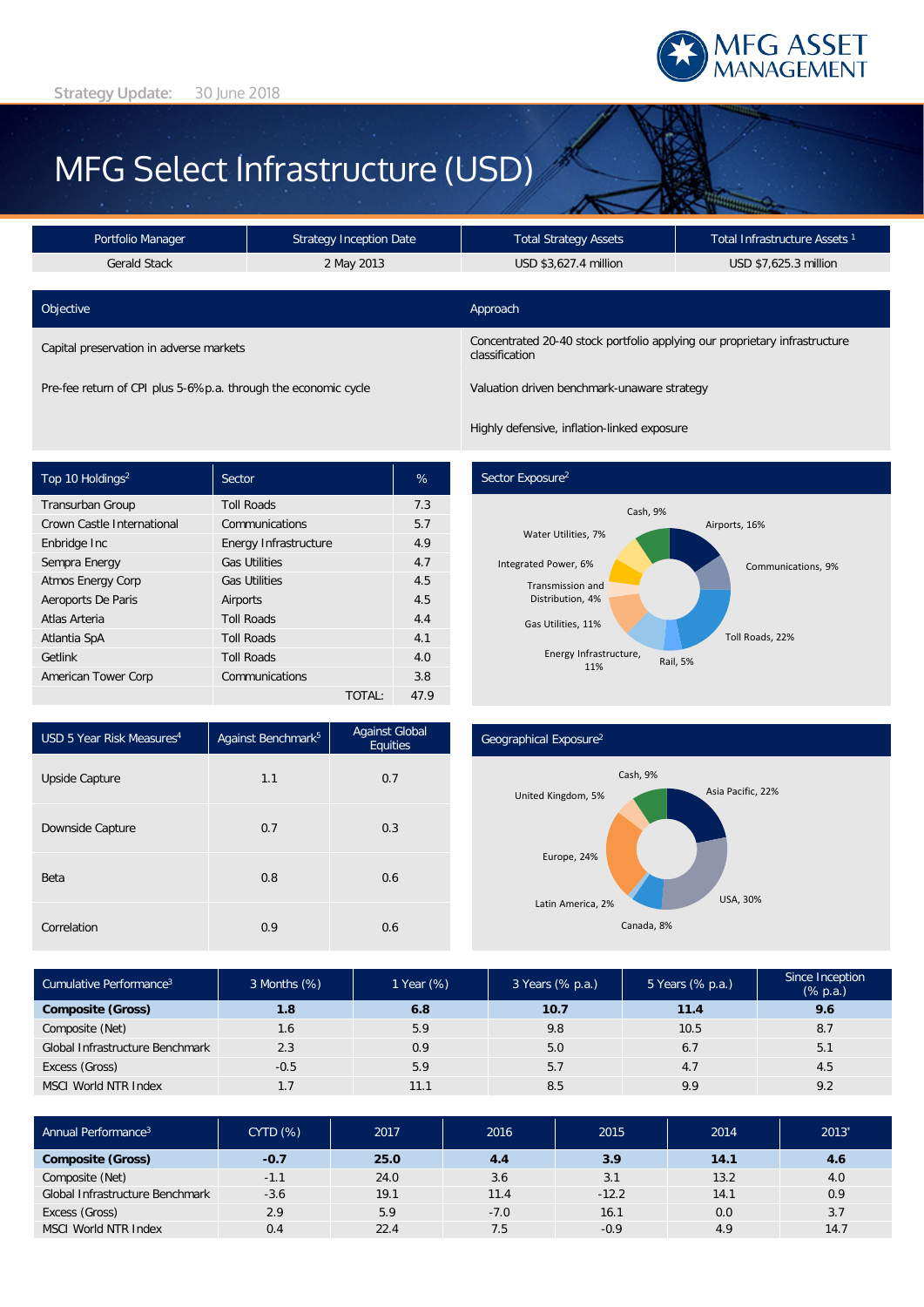

# MFG Select Infrastructure (USD)

| Portfolio Manager                       | <b>Strategy Inception Date</b> | <b>Total Strategy Assets</b>                                                                 | Total Infrastructure Assets <sup>1</sup> |  |  |
|-----------------------------------------|--------------------------------|----------------------------------------------------------------------------------------------|------------------------------------------|--|--|
| <b>Gerald Stack</b>                     | 2 May 2013                     | USD \$3,627.4 million                                                                        | USD \$7,625.3 million                    |  |  |
|                                         |                                |                                                                                              |                                          |  |  |
| Objective                               |                                | Approach                                                                                     |                                          |  |  |
| Capital preservation in adverse markets |                                | Concentrated 20-40 stock portfolio applying our proprietary infrastructure<br>classification |                                          |  |  |

Pre-fee return of CPI plus 5-6%p.a. through the economic cycle Valuation driven benchmark-unaware strategy

Highly defensive, inflation-linked exposure

| Top 10 Holdings <sup>2</sup> | Sector                | %    |
|------------------------------|-----------------------|------|
| Transurban Group             | <b>Toll Roads</b>     | 7.3  |
| Crown Castle International   | Communications        | 5.7  |
| Enbridge Inc                 | Energy Infrastructure | 4.9  |
| Sempra Energy                | <b>Gas Utilities</b>  | 4.7  |
| <b>Atmos Energy Corp</b>     | <b>Gas Utilities</b>  | 4.5  |
| Aeroports De Paris           | Airports              | 4.5  |
| Atlas Arteria                | <b>Toll Roads</b>     | 4.4  |
| Atlantia SpA                 | <b>Toll Roads</b>     | 4.1  |
| Getlink                      | <b>Toll Roads</b>     | 4.0  |
| American Tower Corp          | Communications        | 3.8  |
|                              | TOTAL:                | 47.9 |

# Sector Exposure<sup>2</sup>



| USD 5 Year Risk Measures <sup>4</sup> | Against Benchmark <sup>5</sup> | <b>Against Global</b><br>Equities |  |
|---------------------------------------|--------------------------------|-----------------------------------|--|
| Upside Capture                        | 1.1                            | 0.7                               |  |
| Downside Capture                      | 0.7                            | 0.3                               |  |
| Beta                                  | 0.8                            | 0.6                               |  |
| Correlation                           | 0.9                            | 0.6                               |  |

#### Geographical Exposure2



| Cumulative Performance <sup>3</sup> | 3 Months (%) | 1 Year (%) | 3 Years (% p.a.) | 5 Years (% p.a.) | Since Inception<br>$(% \mathbb{R}^2)$ (% p.a.) |
|-------------------------------------|--------------|------------|------------------|------------------|------------------------------------------------|
| <b>Composite (Gross)</b>            | 1.8          | 6.8        | 10.7             | 11.4             | 9.6                                            |
| Composite (Net)                     | 1.6          | 5.9        | 9.8              | 10.5             | 8.7                                            |
| Global Infrastructure Benchmark     | 2.3          | 0.9        | 5.0              | 6.7              | 5.1                                            |
| Excess (Gross)                      | $-0.5$       | 5.9        | 5.7              | 4.7              | 4.5                                            |
| <b>MSCI World NTR Index</b>         | 1.7          | 11.1       | 8.5              | 9.9              | 9.2                                            |

| Annual Performance <sup>3</sup> | CYTD(%) | 2017 | 2016   | 2015    | 2014 | $2013*$ |
|---------------------------------|---------|------|--------|---------|------|---------|
| <b>Composite (Gross)</b>        | $-0.7$  | 25.0 | 4.4    | 3.9     | 14.1 | 4.6     |
| Composite (Net)                 | $-1.1$  | 24.0 | 3.6    | 3.1     | 13.2 | 4.0     |
| Global Infrastructure Benchmark | $-3.6$  | 19.1 | 11.4   | $-12.2$ | 14.1 | 0.9     |
| Excess (Gross)                  | 2.9     | 5.9  | $-7.0$ | 16.1    | 0.0  | 3.7     |
| <b>MSCI World NTR Index</b>     | 0.4     | 22.4 | 7.5    | $-0.9$  | 4.9  | 14.7    |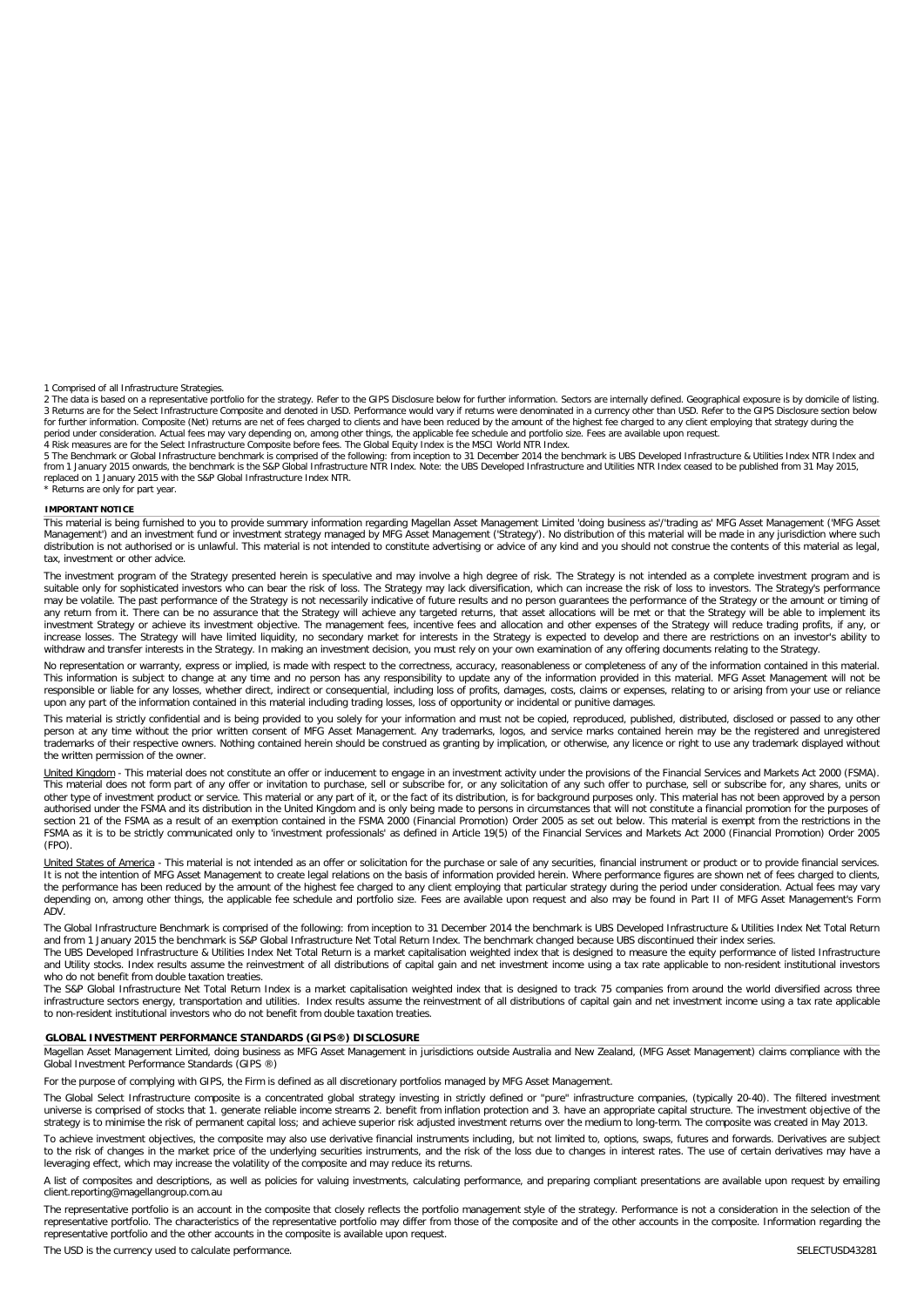1 Comprised of all Infrastructure Strategies.

2 The data is based on a representative portfolio for the strategy. Refer to the GIPS Disclosure below for further information. Sectors are internally defined. Geographical exposure is by domicile of listing.<br>3 Returns are

5 The Benchmark or Global Infrastructure benchmark is comprised of the following: from inception to 31 December 2014 the benchmark is UBS Developed Infrastructure & Utilities Index NTR Index and<br>from 1 January 2015 onwards replaced on 1 January 2015 with the S&P Global Infrastructure Index NTR.

\* Returns are only for part year.

#### **IMPORTANT NOTICE**

This material is being furnished to you to provide summary information regarding Magellan Asset Management Limited 'doing business as'/'trading as' MFG Asset Management ('MFG Asset Management') and an investment fund or investment strategy managed by MFG Asset Management ('Strategy'). No distribution of this material will be made in any jurisdiction where such distribution is not authorised or is unlawful. This material is not intended to constitute advertising or advice of any kind and you should not construe the contents of this material as legal, tax, investment or other advice.

The investment program of the Strategy presented herein is speculative and may involve a high degree of risk. The Strategy is not intended as a complete investment program and is<br>suitable only for sophisticated investors w may be volatile. The past performance of the Strategy is not necessarily indicative of future results and no person guarantees the performance of the Strategy or the amount or timing of any return from it. There can be no assurance that the Strategy will achieve any targeted returns, that asset allocations will be met or that the Strategy will be able to implement its investment Strategy or achieve its investment objective. The management fees, incentive fees and allocation and other expenses of the Strategy will reduce trading profits, if any, or<br>increase losses. The Strategy will have withdraw and transfer interests in the Strategy. In making an investment decision, you must rely on your own examination of any offering documents relating to the Strategy.

No representation or warranty, express or implied, is made with respect to the correctness, accuracy, reasonableness or completeness of any of the information contained in this material. This information is subject to change at any time and no person has any responsibility to update any of the information provided in this material. MFG Asset Management will not be<br>responsible or liable for any losses, whet upon any part of the information contained in this material including trading losses, loss of opportunity or incidental or punitive damages.

This material is strictly confidential and is being provided to you solely for your information and must not be copied, reproduced, published, distributed, disclosed or passed to any other person at any time without the prior written consent of MFG Asset Management. Any trademarks, logos, and service marks contained herein may be the registered and unregistered trademarks of their respective owners. Nothing contained herein should be construed as granting by implication, or otherwise, any licence or right to use any trademark displayed without the written permission of the owner.

<u>United Kingdom</u> - This material does not constitute an offer or inducement to engage in an investment activity under the provisions of the Financial Services and Markets Act 2000 (FSMA).<br>This material does not form part o other type of investment product or service. This material or any part of it, or the fact of its distribution, is for background purposes only. This material has not been approved by a person authorised under the FSMA and its distribution in the United Kingdom and is only being made to persons in circumstances that will not constitute a financial promotion for the purposes of section 21 of the FSMA as a result of an exemption contained in the FSMA 2000 (Financial Promotion) Order 2005 as set out below. This material is exempt from the restrictions in the<br>FSMA as it is to be strictly communicate (FPO).

United States of America - This material is not intended as an offer or solicitation for the purchase or sale of any securities, financial instrument or product or to provide financial services. It is not the intention of MFG Asset Management to create legal relations on the basis of information provided herein. Where performance figures are shown net of fees charged to clients, the performance has been reduced by the amount of the highest fee charged to any client employing that particular strategy during the period under consideration. Actual fees may vary depending on, among other things, the applicable fee schedule and portfolio size. Fees are available upon request and also may be found in Part II of MFG Asset Management's Form ADV.

The Global Infrastructure Benchmark is comprised of the following: from inception to 31 December 2014 the benchmark is UBS Developed Infrastructure & Utilities Index Net Total Return and from 1 January 2015 the benchmark is S&P Global Infrastructure Net Total Return Index. The benchmark changed because UBS discontinued their index series.

The UBS Developed Infrastructure & Utilities Index Net Total Return is a market capitalisation weighted index that is designed to measure the equity performance of listed Infrastructure and Utility stocks. Index results assume the reinvestment of all distributions of capital gain and net investment income using a tax rate applicable to non-resident institutional investors who do not benefit from double taxation treaties.

The S&P Global Infrastructure Net Total Return Index is a market capitalisation weighted index that is designed to track 75 companies from around the world diversified across three infrastructure sectors energy, transportation and utilities. Index results assume the reinvestment of all distributions of capital gain and net investment income using a tax rate applicable to non-resident institutional investors who do not benefit from double taxation treaties.

#### **GLOBAL INVESTMENT PERFORMANCE STANDARDS (GIPS®) DISCLOSURE**

Magellan Asset Management Limited, doing business as MFG Asset Management in jurisdictions outside Australia and New Zealand, (MFG Asset Management) claims compliance with the Global Investment Performance Standards (GIPS ®)

For the purpose of complying with GIPS, the Firm is defined as all discretionary portfolios managed by MFG Asset Management.

The Global Select Infrastructure composite is a concentrated global strategy investing in strictly defined or "pure" infrastructure companies, (typically 20-40). The filtered investment universe is comprised of stocks that 1. generate reliable income streams 2. benefit from inflation protection and 3. have an appropriate capital structure. The investment objective of the strategy is to minimise the risk of permanent capital loss; and achieve superior risk adjusted investment returns over the medium to long-term. The composite was created in May 2013.

To achieve investment objectives, the composite may also use derivative financial instruments including, but not limited to, options, swaps, futures and forwards. Derivatives are subject to the risk of changes in the market price of the underlying securities instruments, and the risk of the loss due to changes in interest rates. The use of certain derivatives may have a<br>leveraging effect, which may increas

A list of composites and descriptions, as well as policies for valuing investments, calculating performance, and preparing compliant presentations are available upon request by emailing client.reporting@magellangroup.com.au

The representative portfolio is an account in the composite that closely reflects the portfolio management style of the strategy. Performance is not a consideration in the selection of the representative portfolio. The characteristics of the representative portfolio may differ from those of the composite and of the other accounts in the composite. Information regarding the<br>representative portfolio and the ot

The USD is the currency used to calculate performance. SELECTUSD43281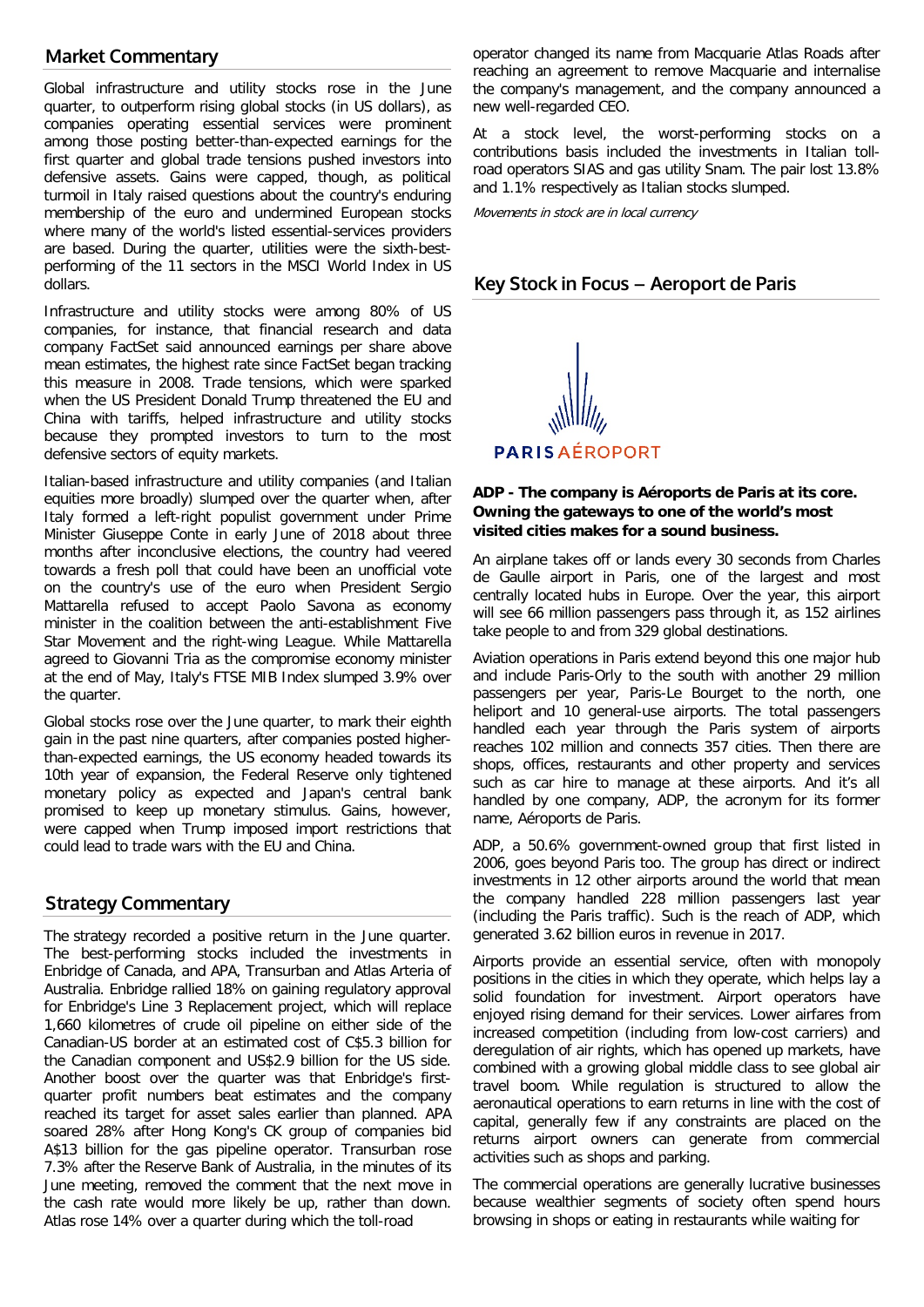# **Market Commentary**

Global infrastructure and utility stocks rose in the June quarter, to outperform rising global stocks (in US dollars), as companies operating essential services were prominent among those posting better-than-expected earnings for the first quarter and global trade tensions pushed investors into defensive assets. Gains were capped, though, as political turmoil in Italy raised questions about the country's enduring membership of the euro and undermined European stocks where many of the world's listed essential-services providers are based. During the quarter, utilities were the sixth-bestperforming of the 11 sectors in the MSCI World Index in US dollars.

Infrastructure and utility stocks were among 80% of US companies, for instance, that financial research and data company FactSet said announced earnings per share above mean estimates, the highest rate since FactSet began tracking this measure in 2008. Trade tensions, which were sparked when the US President Donald Trump threatened the EU and China with tariffs, helped infrastructure and utility stocks because they prompted investors to turn to the most defensive sectors of equity markets.

Italian-based infrastructure and utility companies (and Italian equities more broadly) slumped over the quarter when, after Italy formed a left-right populist government under Prime Minister Giuseppe Conte in early June of 2018 about three months after inconclusive elections, the country had veered towards a fresh poll that could have been an unofficial vote on the country's use of the euro when President Sergio Mattarella refused to accept Paolo Savona as economy minister in the coalition between the anti-establishment Five Star Movement and the right-wing League. While Mattarella agreed to Giovanni Tria as the compromise economy minister at the end of May, Italy's FTSE MIB Index slumped 3.9% over the quarter.

Global stocks rose over the June quarter, to mark their eighth gain in the past nine quarters, after companies posted higherthan-expected earnings, the US economy headed towards its 10th year of expansion, the Federal Reserve only tightened monetary policy as expected and Japan's central bank promised to keep up monetary stimulus. Gains, however, were capped when Trump imposed import restrictions that could lead to trade wars with the EU and China.

# **Strategy Commentary**

The strategy recorded a positive return in the June quarter. The best-performing stocks included the investments in Enbridge of Canada, and APA, Transurban and Atlas Arteria of Australia. Enbridge rallied 18% on gaining regulatory approval for Enbridge's Line 3 Replacement project, which will replace 1,660 kilometres of crude oil pipeline on either side of the Canadian-US border at an estimated cost of C\$5.3 billion for the Canadian component and US\$2.9 billion for the US side. Another boost over the quarter was that Enbridge's firstquarter profit numbers beat estimates and the company reached its target for asset sales earlier than planned. APA soared 28% after Hong Kong's CK group of companies bid A\$13 billion for the gas pipeline operator. Transurban rose 7.3% after the Reserve Bank of Australia, in the minutes of its June meeting, removed the comment that the next move in the cash rate would more likely be up, rather than down. Atlas rose 14% over a quarter during which the toll-road

operator changed its name from Macquarie Atlas Roads after reaching an agreement to remove Macquarie and internalise the company's management, and the company announced a new well-regarded CEO.

At a stock level, the worst-performing stocks on a contributions basis included the investments in Italian tollroad operators SIAS and gas utility Snam. The pair lost 13.8% and 1.1% respectively as Italian stocks slumped.

Movements in stock are in local currency





## **ADP - The company is Aéroports de Paris at its core. Owning the gateways to one of the world's most visited cities makes for a sound business.**

An airplane takes off or lands every 30 seconds from Charles de Gaulle airport in Paris, one of the largest and most centrally located hubs in Europe. Over the year, this airport will see 66 million passengers pass through it, as 152 airlines take people to and from 329 global destinations.

Aviation operations in Paris extend beyond this one major hub and include Paris-Orly to the south with another 29 million passengers per year, Paris-Le Bourget to the north, one heliport and 10 general-use airports. The total passengers handled each year through the Paris system of airports reaches 102 million and connects 357 cities. Then there are shops, offices, restaurants and other property and services such as car hire to manage at these airports. And it's all handled by one company, ADP, the acronym for its former name, Aéroports de Paris.

ADP, a 50.6% government-owned group that first listed in 2006, goes beyond Paris too. The group has direct or indirect investments in 12 other airports around the world that mean the company handled 228 million passengers last year (including the Paris traffic). Such is the reach of ADP, which generated 3.62 billion euros in revenue in 2017.

Airports provide an essential service, often with monopoly positions in the cities in which they operate, which helps lay a solid foundation for investment. Airport operators have enjoyed rising demand for their services. Lower airfares from increased competition (including from low-cost carriers) and deregulation of air rights, which has opened up markets, have combined with a growing global middle class to see global air travel boom. While regulation is structured to allow the aeronautical operations to earn returns in line with the cost of capital, generally few if any constraints are placed on the returns airport owners can generate from commercial activities such as shops and parking.

The commercial operations are generally lucrative businesses because wealthier segments of society often spend hours browsing in shops or eating in restaurants while waiting for